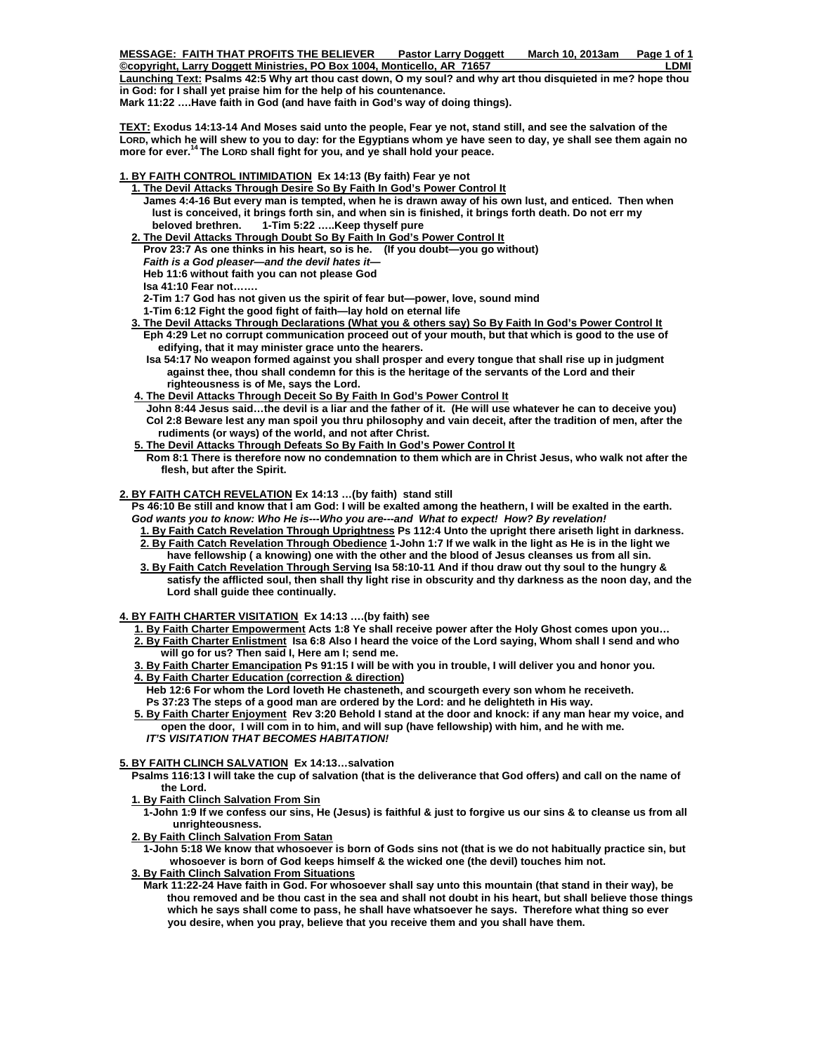**MESSAGE: FAITH THAT PROFITS THE BELIEVER Pastor Larry Doggett March 10, 2013am Page 1 of 1**

**Copyright, Larry Doggett Ministries, PO Box 1004, Monticello, AR 71657** LOMI **Launching Text: Psalms 42:5 Why art thou cast down, O my soul? and why art thou disquieted in me? hope thou in God: for I shall yet praise him for the help of his countenance.** 

**Mark 11:22 ….Have faith in God (and have faith in God's way of doing things).** 

**TEXT: Exodus 14:13-14 And Moses said unto the people, Fear ye not, stand still, and see the salvation of the LORD, which he will shew to you to day: for the Egyptians whom ye have seen to day, ye shall see them again no more for ever.14 The LORD shall fight for you, and ye shall hold your peace.** 

## **1. BY FAITH CONTROL INTIMIDATION Ex 14:13 (By faith) Fear ye not**

- **1. The Devil Attacks Through Desire So By Faith In God's Power Control It James 4:4-16 But every man is tempted, when he is drawn away of his own lust, and enticed. Then when lust is conceived, it brings forth sin, and when sin is finished, it brings forth death. Do not err my beloved brethren. 1-Tim 5:22 …..Keep thyself pure**
- **2. The Devil Attacks Through Doubt So By Faith In God's Power Control It Prov 23:7 As one thinks in his heart, so is he. (If you doubt—you go without)** *Faith is a God pleaser—and the devil hates it—* 
	- **Heb 11:6 without faith you can not please God**
	- **Isa 41:10 Fear not…….**

 **2-Tim 1:7 God has not given us the spirit of fear but—power, love, sound mind** 

- **1-Tim 6:12 Fight the good fight of faith—lay hold on eternal life**
- **3. The Devil Attacks Through Declarations (What you & others say) So By Faith In God's Power Control It Eph 4:29 Let no corrupt communication proceed out of your mouth, but that which is good to the use of edifying, that it may minister grace unto the hearers.** 
	- **Isa 54:17 No weapon formed against you shall prosper and every tongue that shall rise up in judgment against thee, thou shall condemn for this is the heritage of the servants of the Lord and their righteousness is of Me, says the Lord.**

## **4. The Devil Attacks Through Deceit So By Faith In God's Power Control It**

- **John 8:44 Jesus said…the devil is a liar and the father of it. (He will use whatever he can to deceive you) Col 2:8 Beware lest any man spoil you thru philosophy and vain deceit, after the tradition of men, after the rudiments (or ways) of the world, and not after Christ.**
- **5. The Devil Attacks Through Defeats So By Faith In God's Power Control It**
- **Rom 8:1 There is therefore now no condemnation to them which are in Christ Jesus, who walk not after the flesh, but after the Spirit.**

#### **2. BY FAITH CATCH REVELATION Ex 14:13 …(by faith) stand still**

- **Ps 46:10 Be still and know that I am God: I will be exalted among the heathern, I will be exalted in the earth.** *God wants you to know: Who He is---Who you are---and What to expect! How? By revelation!*
- **1. By Faith Catch Revelation Through Uprightness Ps 112:4 Unto the upright there ariseth light in darkness.**
- **2. By Faith Catch Revelation Through Obedience 1-John 1:7 If we walk in the light as He is in the light we have fellowship ( a knowing) one with the other and the blood of Jesus cleanses us from all sin.**
- **3. By Faith Catch Revelation Through Serving Isa 58:10-11 And if thou draw out thy soul to the hungry & satisfy the afflicted soul, then shall thy light rise in obscurity and thy darkness as the noon day, and the Lord shall guide thee continually.**

# **4. BY FAITH CHARTER VISITATION Ex 14:13 ….(by faith) see**

- **1. By Faith Charter Empowerment Acts 1:8 Ye shall receive power after the Holy Ghost comes upon you… 2. By Faith Charter Enlistment Isa 6:8 Also I heard the voice of the Lord saying, Whom shall I send and who will go for us? Then said I, Here am I; send me.**
- **3. By Faith Charter Emancipation Ps 91:15 I will be with you in trouble, I will deliver you and honor you.**
- **4. By Faith Charter Education (correction & direction)**
	- **Heb 12:6 For whom the Lord loveth He chasteneth, and scourgeth every son whom he receiveth. Ps 37:23 The steps of a good man are ordered by the Lord: and he delighteth in His way.**
- **5. By Faith Charter Enjoyment Rev 3:20 Behold I stand at the door and knock: if any man hear my voice, and open the door, I will com in to him, and will sup (have fellowship) with him, and he with me.** *IT'S VISITATION THAT BECOMES HABITATION!*

## **5. BY FAITH CLINCH SALVATION Ex 14:13…salvation**

- **Psalms 116:13 I will take the cup of salvation (that is the deliverance that God offers) and call on the name of the Lord.**
- **1. By Faith Clinch Salvation From Sin**
	- **1-John 1:9 If we confess our sins, He (Jesus) is faithful & just to forgive us our sins & to cleanse us from all unrighteousness.**
- **2. By Faith Clinch Salvation From Satan**
	- **1-John 5:18 We know that whosoever is born of Gods sins not (that is we do not habitually practice sin, but whosoever is born of God keeps himself & the wicked one (the devil) touches him not.**

## **3. By Faith Clinch Salvation From Situations**

 **Mark 11:22-24 Have faith in God. For whosoever shall say unto this mountain (that stand in their way), be thou removed and be thou cast in the sea and shall not doubt in his heart, but shall believe those things which he says shall come to pass, he shall have whatsoever he says. Therefore what thing so ever you desire, when you pray, believe that you receive them and you shall have them.**